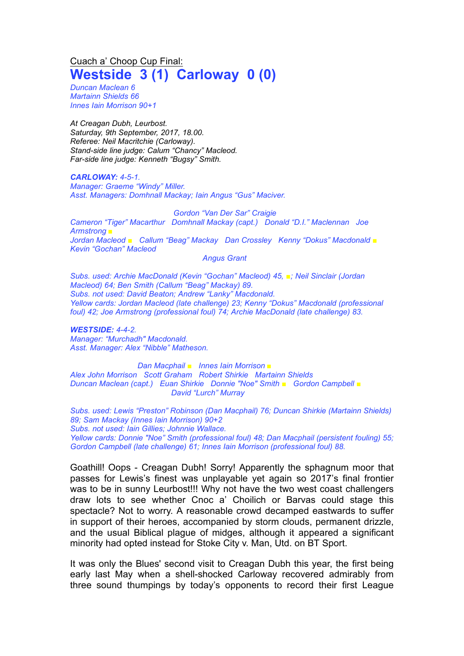Cuach a' Choop Cup Final: **Westside 3 (1) Carloway 0 (0)**

*Duncan Maclean 6 Martainn Shields 66 Innes Iain Morrison 90+1*

*At Creagan Dubh, Leurbost. Saturday, 9th September, 2017, 18.00. Referee: Neil Macritchie (Carloway). Stand-side line judge: Calum "Chancy" Macleod. Far-side line judge: Kenneth "Bugsy" Smith.*

*CARLOWAY: 4-5-1. Manager: Graeme "Windy" Miller. Asst. Managers: Domhnall Mackay; Iain Angus "Gus" Maciver.*

*Gordon "Van Der Sar" Craigie Cameron "Tiger" Macarthur Domhnall Mackay (capt.) Donald "D.I." Maclennan Joe Armstrong ■ Jordan Macleod ■ Callum "Beag" Mackay Dan Crossley Kenny "Dokus" Macdonald ■ Kevin "Gochan" Macleod*

*Angus Grant*

*Subs. used: Archie MacDonald (Kevin "Gochan" Macleod) 45, ■; Neil Sinclair (Jordan Macleod) 64; Ben Smith (Callum "Beag" Mackay) 89. Subs. not used: David Beaton; Andrew "Lanky" Macdonald. Yellow cards: Jordan Macleod (late challenge) 23; Kenny "Dokus" Macdonald (professional foul) 42; Joe Armstrong (professional foul) 74; Archie MacDonald (late challenge) 83.*

*WESTSIDE: 4-4-2. Manager: "Murchadh" Macdonald. Asst. Manager: Alex "Nibble" Matheson.*

*Dan Macphail ■ Innes Iain Morrison ■ Alex John Morrison Scott Graham Robert Shirkie Martainn Shields Duncan Maclean (capt.) Euan Shirkie Donnie "Noe" Smith ■ Gordon Campbell ■ David "Lurch" Murray*

*Subs. used: Lewis "Preston" Robinson (Dan Macphail) 76; Duncan Shirkie (Martainn Shields) 89; Sam Mackay (Innes Iain Morrison) 90+2 Subs. not used: Iain Gillies; Johnnie Wallace. Yellow cards: Donnie "Noe" Smith (professional foul) 48; Dan Macphail (persistent fouling) 55; Gordon Campbell (late challenge) 61; Innes Iain Morrison (professional foul) 88.*

Goathill! Oops - Creagan Dubh! Sorry! Apparently the sphagnum moor that passes for Lewis's finest was unplayable yet again so 2017's final frontier was to be in sunny Leurbost!!! Why not have the two west coast challengers draw lots to see whether Cnoc a' Choilich or Barvas could stage this spectacle? Not to worry. A reasonable crowd decamped eastwards to suffer in support of their heroes, accompanied by storm clouds, permanent drizzle, and the usual Biblical plague of midges, although it appeared a significant minority had opted instead for Stoke City v. Man, Utd. on BT Sport.

It was only the Blues' second visit to Creagan Dubh this year, the first being early last May when a shell-shocked Carloway recovered admirably from three sound thumpings by today's opponents to record their first League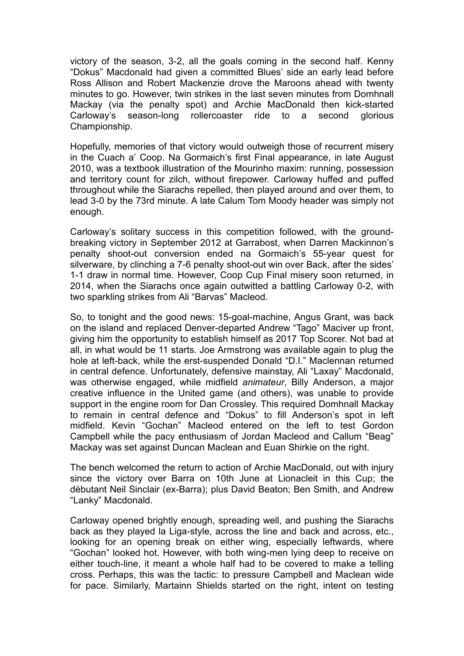victory of the season, 3-2, all the goals coming in the second half. Kenny "Dokus" Macdonald had given a committed Blues' side an early lead before Ross Allison and Robert Mackenzie drove the Maroons ahead with twenty minutes to go. However, twin strikes in the last seven minutes from Domhnall Mackay (via the penalty spot) and Archie MacDonald then kick-started Carloway's season-long rollercoaster ride to a second glorious Championship.

Hopefully, memories of that victory would outweigh those of recurrent misery in the Cuach a' Coop. Na Gormaich's first Final appearance, in late August 2010, was a textbook illustration of the Mourinho maxim: running, possession and territory count for zilch, without firepower. Carloway huffed and puffed throughout while the Siarachs repelled, then played around and over them, to lead 3-0 by the 73rd minute. A late Calum Tom Moody header was simply not enough.

Carloway's solitary success in this competition followed, with the groundbreaking victory in September 2012 at Garrabost, when Darren Mackinnon's penalty shoot-out conversion ended na Gormaich's 55-year quest for silverware, by clinching a 7-6 penalty shoot-out win over Back, after the sides' 1-1 draw in normal time. However, Coop Cup Final misery soon returned, in 2014, when the Siarachs once again outwitted a battling Carloway 0-2, with two sparkling strikes from Ali "Barvas" Macleod.

So, to tonight and the good news: 15-goal-machine, Angus Grant, was back on the island and replaced Denver-departed Andrew "Tago" Maciver up front, giving him the opportunity to establish himself as 2017 Top Scorer. Not bad at all, in what would be 11 starts. Joe Armstrong was available again to plug the hole at left-back, while the erst-suspended Donald "D.I." Maclennan returned in central defence. Unfortunately, defensive mainstay, Ali "Laxay" Macdonald, was otherwise engaged, while midfield *animateur*, Billy Anderson, a major creative influence in the United game (and others), was unable to provide support in the engine room for Dan Crossley. This required Domhnall Mackay to remain in central defence and "Dokus" to fill Anderson's spot in left midfield. Kevin "Gochan" Macleod entered on the left to test Gordon Campbell while the pacy enthusiasm of Jordan Macleod and Callum "Beag" Mackay was set against Duncan Maclean and Euan Shirkie on the right.

The bench welcomed the return to action of Archie MacDonald, out with injury since the victory over Barra on 10th June at Lionacleit in this Cup; the débutant Neil Sinclair (ex-Barra); plus David Beaton; Ben Smith, and Andrew "Lanky" Macdonald.

Carloway opened brightly enough, spreading well, and pushing the Siarachs back as they played la Liga-style, across the line and back and across, etc., looking for an opening break on either wing, especially leftwards, where "Gochan" looked hot. However, with both wing-men lying deep to receive on either touch-line, it meant a whole half had to be covered to make a telling cross. Perhaps, this was the tactic: to pressure Campbell and Maclean wide for pace. Similarly, Martainn Shields started on the right, intent on testing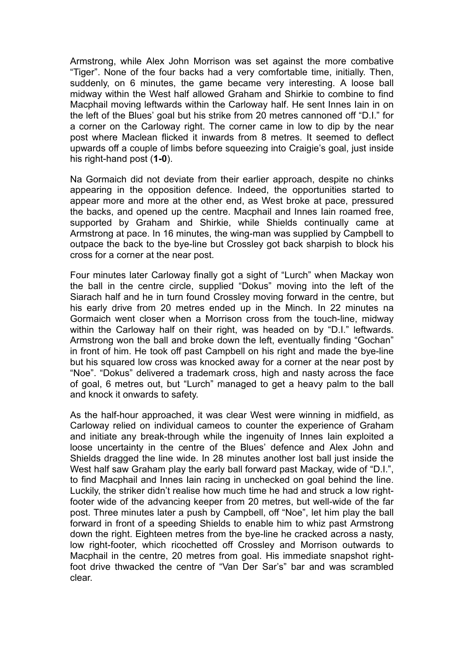Armstrong, while Alex John Morrison was set against the more combative "Tiger". None of the four backs had a very comfortable time, initially. Then, suddenly, on 6 minutes, the game became very interesting. A loose ball midway within the West half allowed Graham and Shirkie to combine to find Macphail moving leftwards within the Carloway half. He sent Innes Iain in on the left of the Blues' goal but his strike from 20 metres cannoned off "D.I." for a corner on the Carloway right. The corner came in low to dip by the near post where Maclean flicked it inwards from 8 metres. It seemed to deflect upwards off a couple of limbs before squeezing into Craigie's goal, just inside his right-hand post (**1-0**).

Na Gormaich did not deviate from their earlier approach, despite no chinks appearing in the opposition defence. Indeed, the opportunities started to appear more and more at the other end, as West broke at pace, pressured the backs, and opened up the centre. Macphail and Innes Iain roamed free, supported by Graham and Shirkie, while Shields continually came at Armstrong at pace. In 16 minutes, the wing-man was supplied by Campbell to outpace the back to the bye-line but Crossley got back sharpish to block his cross for a corner at the near post.

Four minutes later Carloway finally got a sight of "Lurch" when Mackay won the ball in the centre circle, supplied "Dokus" moving into the left of the Siarach half and he in turn found Crossley moving forward in the centre, but his early drive from 20 metres ended up in the Minch. In 22 minutes na Gormaich went closer when a Morrison cross from the touch-line, midway within the Carloway half on their right, was headed on by "D.I." leftwards. Armstrong won the ball and broke down the left, eventually finding "Gochan" in front of him. He took off past Campbell on his right and made the bye-line but his squared low cross was knocked away for a corner at the near post by "Noe". "Dokus" delivered a trademark cross, high and nasty across the face of goal, 6 metres out, but "Lurch" managed to get a heavy palm to the ball and knock it onwards to safety.

As the half-hour approached, it was clear West were winning in midfield, as Carloway relied on individual cameos to counter the experience of Graham and initiate any break-through while the ingenuity of Innes Iain exploited a loose uncertainty in the centre of the Blues' defence and Alex John and Shields dragged the line wide. In 28 minutes another lost ball just inside the West half saw Graham play the early ball forward past Mackay, wide of "D.I.", to find Macphail and Innes Iain racing in unchecked on goal behind the line. Luckily, the striker didn't realise how much time he had and struck a low rightfooter wide of the advancing keeper from 20 metres, but well-wide of the far post. Three minutes later a push by Campbell, off "Noe", let him play the ball forward in front of a speeding Shields to enable him to whiz past Armstrong down the right. Eighteen metres from the bye-line he cracked across a nasty, low right-footer, which ricochetted off Crossley and Morrison outwards to Macphail in the centre, 20 metres from goal. His immediate snapshot rightfoot drive thwacked the centre of "Van Der Sar's" bar and was scrambled clear.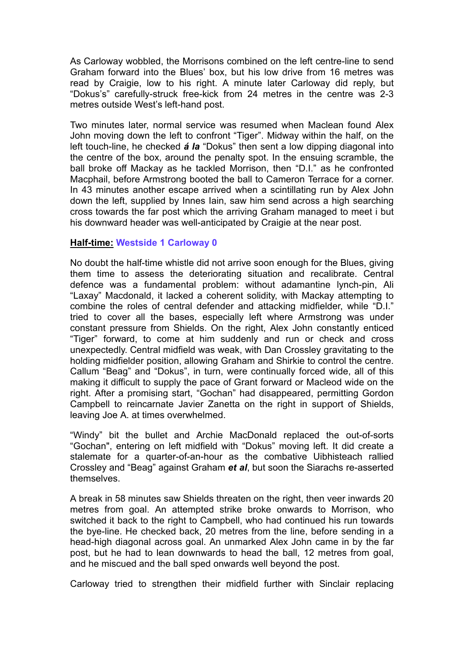As Carloway wobbled, the Morrisons combined on the left centre-line to send Graham forward into the Blues' box, but his low drive from 16 metres was read by Craigie, low to his right. A minute later Carloway did reply, but "Dokus's" carefully-struck free-kick from 24 metres in the centre was 2-3 metres outside West's left-hand post.

Two minutes later, normal service was resumed when Maclean found Alex John moving down the left to confront "Tiger". Midway within the half, on the left touch-line, he checked *á la* "Dokus" then sent a low dipping diagonal into the centre of the box, around the penalty spot. In the ensuing scramble, the ball broke off Mackay as he tackled Morrison, then "D.I." as he confronted Macphail, before Armstrong booted the ball to Cameron Terrace for a corner. In 43 minutes another escape arrived when a scintillating run by Alex John down the left, supplied by Innes Iain, saw him send across a high searching cross towards the far post which the arriving Graham managed to meet i but his downward header was well-anticipated by Craigie at the near post.

## **Half-time: Westside 1 Carloway 0**

No doubt the half-time whistle did not arrive soon enough for the Blues, giving them time to assess the deteriorating situation and recalibrate. Central defence was a fundamental problem: without adamantine lynch-pin, Ali "Laxay" Macdonald, it lacked a coherent solidity, with Mackay attempting to combine the roles of central defender and attacking midfielder, while "D.I." tried to cover all the bases, especially left where Armstrong was under constant pressure from Shields. On the right, Alex John constantly enticed "Tiger" forward, to come at him suddenly and run or check and cross unexpectedly. Central midfield was weak, with Dan Crossley gravitating to the holding midfielder position, allowing Graham and Shirkie to control the centre. Callum "Beag" and "Dokus", in turn, were continually forced wide, all of this making it difficult to supply the pace of Grant forward or Macleod wide on the right. After a promising start, "Gochan" had disappeared, permitting Gordon Campbell to reincarnate Javier Zanetta on the right in support of Shields, leaving Joe A. at times overwhelmed.

"Windy" bit the bullet and Archie MacDonald replaced the out-of-sorts "Gochan", entering on left midfield with "Dokus" moving left. It did create a stalemate for a quarter-of-an-hour as the combative Uibhisteach rallied Crossley and "Beag" against Graham *et al*, but soon the Siarachs re-asserted themselves.

A break in 58 minutes saw Shields threaten on the right, then veer inwards 20 metres from goal. An attempted strike broke onwards to Morrison, who switched it back to the right to Campbell, who had continued his run towards the bye-line. He checked back, 20 metres from the line, before sending in a head-high diagonal across goal. An unmarked Alex John came in by the far post, but he had to lean downwards to head the ball, 12 metres from goal, and he miscued and the ball sped onwards well beyond the post.

Carloway tried to strengthen their midfield further with Sinclair replacing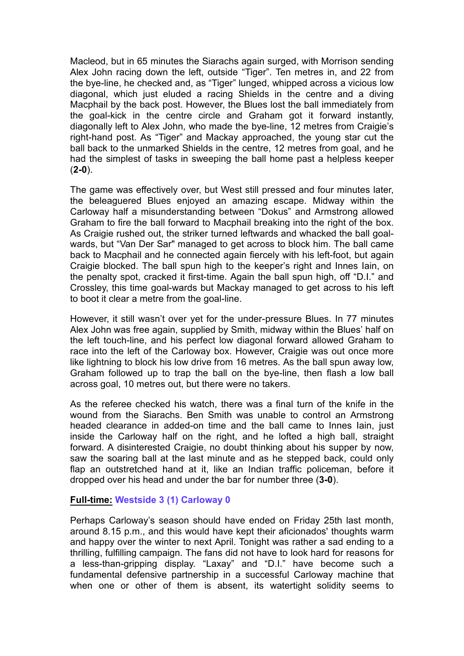Macleod, but in 65 minutes the Siarachs again surged, with Morrison sending Alex John racing down the left, outside "Tiger". Ten metres in, and 22 from the bye-line, he checked and, as "Tiger" lunged, whipped across a vicious low diagonal, which just eluded a racing Shields in the centre and a diving Macphail by the back post. However, the Blues lost the ball immediately from the goal-kick in the centre circle and Graham got it forward instantly, diagonally left to Alex John, who made the bye-line, 12 metres from Craigie's right-hand post. As "Tiger" and Mackay approached, the young star cut the ball back to the unmarked Shields in the centre, 12 metres from goal, and he had the simplest of tasks in sweeping the ball home past a helpless keeper (**2-0**).

The game was effectively over, but West still pressed and four minutes later, the beleaguered Blues enjoyed an amazing escape. Midway within the Carloway half a misunderstanding between "Dokus" and Armstrong allowed Graham to fire the ball forward to Macphail breaking into the right of the box. As Craigie rushed out, the striker turned leftwards and whacked the ball goalwards, but "Van Der Sar" managed to get across to block him. The ball came back to Macphail and he connected again fiercely with his left-foot, but again Craigie blocked. The ball spun high to the keeper's right and Innes Iain, on the penalty spot, cracked it first-time. Again the ball spun high, off "D.I." and Crossley, this time goal-wards but Mackay managed to get across to his left to boot it clear a metre from the goal-line.

However, it still wasn't over yet for the under-pressure Blues. In 77 minutes Alex John was free again, supplied by Smith, midway within the Blues' half on the left touch-line, and his perfect low diagonal forward allowed Graham to race into the left of the Carloway box. However, Craigie was out once more like lightning to block his low drive from 16 metres. As the ball spun away low, Graham followed up to trap the ball on the bye-line, then flash a low ball across goal, 10 metres out, but there were no takers.

As the referee checked his watch, there was a final turn of the knife in the wound from the Siarachs. Ben Smith was unable to control an Armstrong headed clearance in added-on time and the ball came to Innes Iain, just inside the Carloway half on the right, and he lofted a high ball, straight forward. A disinterested Craigie, no doubt thinking about his supper by now, saw the soaring ball at the last minute and as he stepped back, could only flap an outstretched hand at it, like an Indian traffic policeman, before it dropped over his head and under the bar for number three (**3-0**).

## **Full-time: Westside 3 (1) Carloway 0**

Perhaps Carloway's season should have ended on Friday 25th last month, around 8.15 p.m., and this would have kept their aficionados' thoughts warm and happy over the winter to next April. Tonight was rather a sad ending to a thrilling, fulfilling campaign. The fans did not have to look hard for reasons for a less-than-gripping display. "Laxay" and "D.I." have become such a fundamental defensive partnership in a successful Carloway machine that when one or other of them is absent, its watertight solidity seems to